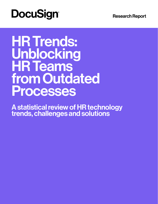# **DocuSign®**

Research Report

### Unblocking<br>Lin Taakel **HR leams** To remain in the game, insurers must be a strong must be a strong must be a strong must be a strong must be a **transformation their customers' experience.** HR Trends: **Unblocking** HR Teams from Outdated Processes

A statistical review of HR technology trends, challenges and solutions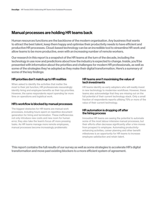### Manual processes are holding HR teams back

Human resources functions are the backbone of the modern organisation. Any business that wants to attract the best talent, keep them happy and optimise their productivity needs to have efficient and productive HR processes. Cloud-based technology can be an incredible tool to streamline HR work and allow teams to be more productive, even with an increasing number of remote workers.

Our research in this report is a snapshot of the HR teams at the turn of the decade, including the technology in use now and predictions about how the industry is expected to change. Inside, you'll be presented with information about the priorities and challenges for modern HR professionals, as well as some of the strategies they've adopted as they make their digital transformation. Here's a summary of some of the key findings:

#### HR priorities don't match up to HR realities

When asked to identify the activities that matter the most to their job function, HR professionals resoundingly identify hiring and employee benefits as their top priorities. However, the same respondents report spending far more time on operations and logistical work.

#### HR's workflow is blocked by manual processes

The biggest obstacles for HR teams are manual work processes, including hours spent on repetitive document generation for hiring and termination. These inefficiencies not only introduce new costs and new room for human error, they also take the team's focus off more pressing tasks. As HR teams manage more remote employees, manual processes become increasingly problematic

#### HR teams aren't maximising the value of tech investments

HR teams identify as early adopters who will readily invest in new technology to modernise workflows. However, these teams also acknowledge that they are missing out on the full potential of their current technology stack. Only a small fraction of respondents reports utilising 75% or more of the value of their current technology.

#### HR automation is dropping off after the hiring process

Innovative HR teams are seeing the potential to automate some of the most labour-intensive manual processes, but their efforts often decrease significantly after a hire moves from prospect to employee. Automating productivityenhancing activities, career planning and other benefit milestones is an opportunity for HR teams to increase employee satisfaction and retain talent.

This report contains the full results of our survey as well as some strategies to accelerate HR's digital transformation and move past existing blockers to a more efficient system of agreement.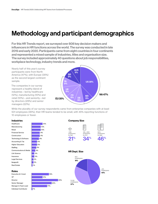### Methodology and participant demographics

For this HR Trends report, we surveyed over 808 key decision makers and influencers in HR functions across the world. The survey was conducted in late 2019 and early 2020. Participants came from eight countries in four continents and represented a mixed sample of industries, titles and organisation size. The survey included approximately 40 questions about job responsibilities, workplace technology, industry trends and more.

Nearly half of this year's survey participants were from North America (47%), with Europe (35%) as the second largest continent sample.

The companies in our survey represent a healthy blend of industries—led by healthcare (12%), manufacturing (10%) and retail (10%)—and seniority—led by directors (29%) and senior managers (22%).



While the plurality of our survey respondents came from enterprise companies with at least 501 employees (46%), their HR teams tended to be small, with 45% reporting functions of 10 employees or fewer.

#### Industries



#### Company Size



#### HR Dept. Size



#### Roles

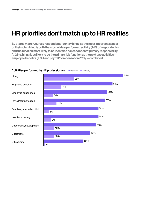### HR priorities don't match up to HR realities

By a large margin, survey respondents identify hiring as the most important aspect of their role. Hiring is both the most widely performed activity (74% of respondents) and the function most likely to be identified as respondents' primary responsibility. At 28%, hiring is as likely to be the primary job function as the next two activities employee benefits (16%) and payroll/compensation (12%)—combined.



#### Activities performed by HR professionals **Perform OP Primary**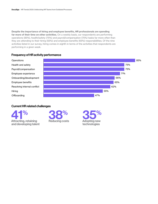Despite the importance of hiring and employee benefits, HR professionals are spending far more of their time on other activities. On a weekly basis, our respondents are performing operations (85%), health/safety (75%) and payroll/compensation (75%) tasks far more often than they are attending to their hiring (55%) and employee benefits (65%) responsibilities. Of the nine activities listed in our survey, hiring comes in eighth in terms of the activities that respondents are performing in a given week.

#### Frequency of HR activity performance



#### Current HR related challenges





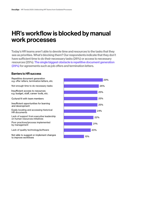### HR's workflow is blocked by manual work processes

Today's HR teams aren't able to devote time and resources to the tasks that they see as priorities. What's blocking them? Our respondents indicate that they don't have sufficient time to do their necessary tasks (26%) or access to necessary resources (25%). The single biggest obstacle is repetitive document generation (29%) for agreements such as job offers and termination letters.

#### Barriers to HR success

Repetitive document generation e.g. offer letters, termination letters, etc.

Not enough time to do necessary tasks

Insufficient access to resources e.g. budget, staff, career tools, etc.

Cultural fit with team members

Insufficient opportunities for learning and development

Easily locating and accessing historical HR documents

Lack of support from executive leadership on human resources initiatives

Poor practices/process implemented by management

Lack of quality technology/software

Not able to suggest or implement changes to improve workflows

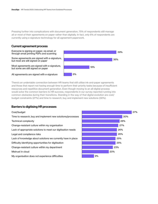Pressing further into complications with document generation, 75% of respondents still manage all or most of their agreements on paper rather than digitally. In fact, only 6% of respondents are currently using e-signature technology for all agreement paperwork.

#### Current agreement process

Everyone is signing on paper, via email, or through email printing PDFs and scanning

Some agreements are signed with e-signature, but most are still signed on paper

Most agreements are signed with e-signature, but some are still signed on paper



All agreements are signed with e-signature

There's an undeniable connection between HR teams that still utilise ink-and-paper agreements and those that report not having enough time to perform their priority tasks because of insufficient resources and repetitive document generation. Even though moving to an all-digital process would solve the common barriers to HR success, respondents in our survey reported running into common obstacles during their transitions. Standing in the way of that digital evolution are cost/ budget constraints (27%) and time to research, buy and implement new solutions (30%).

#### Barriers to digitising HR processes

#### Cost/budget Time to research, buy and implement new solutions/processes Technical complexity Change-resistant culture within my organisation Lack of appropriate solutions to meet our digitisation needs Legal and compliance risks Lack of knowledge about solutions we currently have in place Difficulty identifying opportunities for digitisation Change-resistant culture within my department Mistrust in cloud

My organisation does not experience difficulties

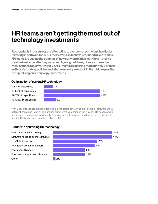### HR teams aren't getting the most out of technology investments

Respondents in our survey are attempting to overcome technology hurdles by investing in software tools, but their efforts so far have produced mixed results. HR teams are seeing the potential of new software in their workflow—they've invested in it, after all—they just aren't figuring out the right way to make the most of those tools yet. Only 9% of HR teams are utilising more than 75% of their software's total capabilities and a huge majority are stuck in the middle quartiles of capitalising on technology investments.

#### Optimisation of current HR technology





With 84% of respondents benefitting from a moderate amount of their complex software's total potential, there has to be an explanation about what's standing in the way of HR's success with technology. The respondents identify two clear areas to improve: additional time for technology training (44%) and more intuitive software (44%).

#### Barriers to optimising HR technology

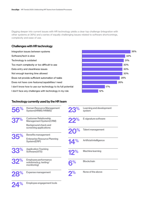Digging deeper into current issues with HR technology yields a clear top challenge (integration with other systems at 36%) and a series of equally challenging issues related to software shortcomings, complexity and ease of use.

#### Challenges with HR technology

Integration issues between systems Software/tech is slow Technology is outdated Too much complexity or too difficult to use Data entry and cleanliness issues Not enough learning time allowedDoes not provide sufficient automation of tasks Does not have core features/capabilities I need I don't know how to use our technology to its full potential I don't face any challenges with technology in my role



#### Technology currently used by the HR team

| 56%        | <b>Human Resource Management</b><br><b>System(HRMS/HRIMS)</b>  | 23 <sup>%</sup> | <b>Learning and development</b><br>system |
|------------|----------------------------------------------------------------|-----------------|-------------------------------------------|
| <b>37%</b> | <b>Customer Relationship</b><br><b>Management System (CRM)</b> | 22%             | E-signature software                      |
|            | <b>Background check and</b>                                    |                 |                                           |
|            | screening applications                                         | %               | <b>Talent management</b>                  |
|            | <b>Benefits management</b>                                     |                 |                                           |
| <b>35%</b> | <b>Enterprise Resource Planning</b><br>System(ERP)             | 14%             | <b>Artificial intelligence</b>            |
| 33%        | <b>Application Tracking</b><br>Software(ATS)                   | 12%             | <b>Machine learning</b>                   |
| 32%        | Employee performance<br>solutions(e.g. testing/<br>monitoring) | 8%              | <b>Blockchain</b>                         |
|            | <b>Expense management</b>                                      | 2 <sup>%</sup>  | None of the above                         |

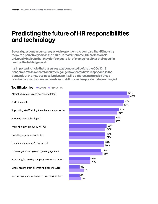### Predicting the future of HR responsibilities and technology

Several questions in our survey asked respondents to compare the HR industry today to a point five years in the future. In that timeframe, HR professionals universally indicate that they don't expect a lot of change for either their specific team or the field in general.

It's important to note that our survey was conducted before the COVID-19 pandemic. While we can't accurately gauge how teams have responded to the demands of the new business landscape, it will be interesting to revisit these results in our next survey and see how workflows and respondents have changed.

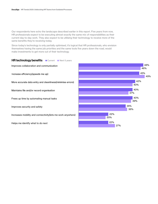Our respondents here echo the landscape described earlier in this report. Five years from now, HR professionals expect to be executing almost exactly the same mix of responsibilities as their current day-to-day work. They also expect to be utilising their technology to receive more of the same benefits they're receiving today.

Since today's technology is only partially optimised, it's logical that HR professionals, who envision themselves having the same job priorities and the same tools five years down the road, would make investments to get more out of their technology.



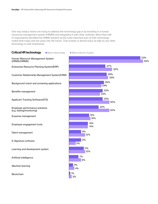One way today's teams are trying to address the technology gap is by investing in a human resources management system (HRMS) and integrating it with other software. More than half of respondents identified the HRMS solution as the most important part of their technology toolkit both today and five years into the future. That number is almost twice as high as any other technology in both timeframes.

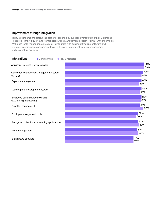#### Improvement through integration

Today's HR teams are setting the stage for technology success by integrating their Enterprise Resource Planning (ERP) and Human Resources Management System (HRMS) with other tools. With both tools, respondents are quick to integrate with applicant tracking software and customer relationship management tools, but slower to connect to talent management and e-signature software.

| <b>Integrations</b><br>● ERP integrated                     | <b>• HRMS integrated</b> |
|-------------------------------------------------------------|--------------------------|
| <b>Applicant Tracking Software (ATS)</b>                    | 89%<br>89%               |
| <b>Customer Relationship Management System</b><br>(CRMS)    | 88%<br>86%               |
| Expense management                                          | 86%<br>83%               |
| Learning and development system                             | 86%<br>84%               |
| Employee performance solutions<br>(e.g. testing/monitoring) | 86%<br>85%               |
| Benefits management                                         | 84%<br>88%               |
| Employee engagement tools                                   | 82%<br>80%               |
| Background check and screening applications                 | 82%<br>83%               |
| Talent management                                           | 81%<br>82%               |
| E-Signature software                                        | 77%<br>77%               |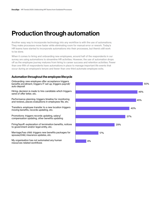### Production through automation

Another easy way to incorporate technology into any workflow is with the use of automations. They make processes move faster while eliminating room for manual error or rework. Today's HR teams have started to incorporate automations into their processes, but there's still work to be done.

When it comes to hiring and onboarding new employees, around half of the respondents in our survey are using automations to streamline HR activities. However, the use of automation drops off as the employee journey matures from hiring to career success and retention activities. Fewer than one-fifth of respondents have automations in place to manage important life events that occur during an employee's tenure and fewer than one-third automate employee exits.

#### Automation throughout the employee lifecycle

Onboarding: new employee offer acceptance triggers benefits enrollment, triggers IT set up, triggers payroll/ auto deposit

Hiring: decision is made to hire candidate which triggers send of offer letter, etc.

Performance planning: triggers timeline for monitoring and reviews, places evaluations in employees file, etc.

Transfers: employee transfer to a new location triggers moving benefits, records updating, etc.

Promotions: triggers records updating, salary/ compensation updating, other benefits updating

Firing/layoff: explanation of termination benefits, notices to government and/or legal entity, etc.

Marriage/has child: triggers new benefits packages for spouse/child, insurance updates, etc.

My organisation has not automated any human resources related workflows

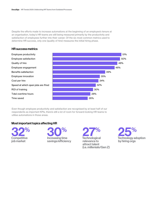Despite the efforts made to increase automations at the beginning of an employee's tenure at an organisation, today's HR teams are still being measured primarily by the productivity and satisfaction of employees further into their career. Of the six most common metrics used to determine HR success, only one (quality of hire) measures the initial hiring phase.

#### Employee productivity 50% Employee satisfaction Quality of hire 48% 46% Employee engagement Benefits satisfaction 39% 35% Employee innovation 34% Cost per hire Speed at which open jobs are filled 32% ROI of training 30% Total overtime hours 28% 26% Time saved

Even though employee productivity and satisfaction are recognised by at least half of our respondents as important KPIs, there's still a lot of room for forward-looking HR teams to utilise automations in those areas.

#### Most important topics affecting HR

32% Competitive job market



27% Technological relevance to attract talent (i.e. millenials/Gen Z)



51%

#### HR success metrics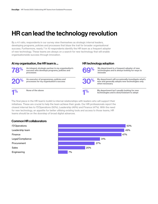## HR can lead the technology revolution

By a 4:1 ratio, respondents in our survey view themselves as strategic internal leaders, developing programs, policies and processes that blaze the trail for broader organisational success. Furthermore, nearly 7 in 10 respondents identify the HR team as a frequent adopter of new technology. These teams are always on a search for new technology that will enable organisationwide success through innovation.

#### At my organisation, the HR team is ... **HR technology adoption**



An integral, strategic partner in my organisation's success who develops programs, policies and processes

20% An executor of programmes, policies and processes for my organisation's success 30% processes for my organisation's success

1% None of the above 1% and 1% and 1% of the above 1% and 1% of 1% and 1% of 1% of 1% of 1% of 1% of 1% of 1% of 1% of 1% of 1% of 1% of 1% of 1% of 1% of 1% of 1% of 1% of 1% of 1% of 1% of 1% of 1% of 1% of 1% of 1% of 1

when necessary



My department is a frequent adopter of new **The matter of the children's and is always looking for ways to**<br>innovate

My department will occasionally investigate what's new and generally adopts new technologies only

None of the above **My department isn't usually looking for new**<br>
My department isn't usually looking for new<br> **Algorithment is above** technologies and is slow/resistant to adopt technologies and is slow/resistant to adopt

The final piece in the HR team's toolkit is internal relationships with leaders who will support their initiatives. These are crucial to help the team achieve their goals. Our HR professionals report the closest internal ties to IT/Operations (50%), Leadership (49%) and Finance (47%). With the need for new technology, an appetite for better utilising existing tools and access to those teams, HR teams should be on the doorstep of broad digital advances.

#### Common HR collaborators